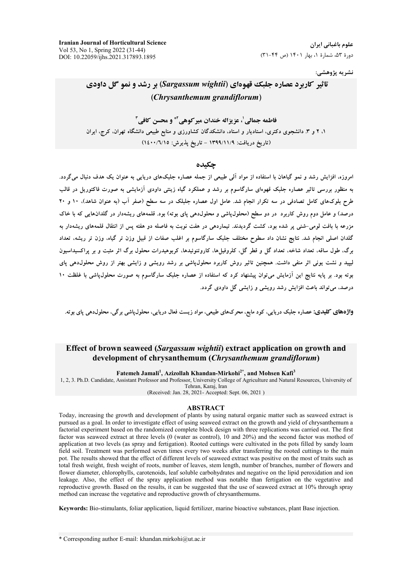**Iranian Journal of Horticultural Science** Vol 53, No 1, Spring 2022 (31-44) DOI: 10.22059/ijhs.2021.317893.1895

علوم باغیانی ایران دورهٔ ۵۳، شمارهٔ ۱، بهار ۱۴۰۱ (ص ۴۴-۳۱)

نشريه پژوهشي:

# تاثیر کاربرد عصاره جلبک قهوهای (Sargassum wightii) بر رشد و نمو گل داودی (Chrysanthemum grandiflorum)

فاطمه حمالي'، عز زاله خندان مبر كوهي آ\* و محسن كافي آ ۱، ۲ و ۳. دانشجوی دکتری، استادیار و استاد، دانشکدگان کشاورزی و منابع طبیعی دانشگاه تهران، کرج، ایران (تاریخ دریافت: ١٣٩٩/١١/٩ - تاریخ پذیرش: ١٤٠٠/٦/١٥)

### حكىدە

امروزه، افزایش رشد و نمو گیاهان با استفاده از مواد آلمی طبیعی از جمله عصاره جلبکهای دریایی به عنوان یک هدف دنبال میگردد. به منظور بررسی تاثیر عصاره جلبک قهوهای سارگاسوم بر رشد و عملکرد گیاه زینتی داودی آزمایشی به صورت فاکتوریل در قالب طرح بلوکهای کامل تصادفی در سه تکرار انجام شد. عامل اول عصاره جلبلک در سه سطح (صفر آب (به عنوان شاهد)، ۱۰ و ۲۰ درصد) و عامل دوم روش کاربرد در دو سطح (محلولپاشی و محلولدهی پای بوته) بود. قلمههای ریشهدار در گلدانهایی که با خاک مزرعه با بافت لومی-شنی پر شده بود، کشت گردیدند. تیماردهی در هفت نوبت به فاصله دو هفته پس از انتقال قلمههای ریشهدار به گلدان اصلی انجام شد. نتایج نشان داد سطوح مختلف جلبک سارگاسوم بر اغلب صفات از قبیل وزن تر گیاه، وزن تر ریشه، تعداد برگ، طول ساقه، تعداد شاخه، تعداد گل و قطر گل، کلروفیلها، کاروتنوئیدها، کربوهیدرات محلول برگ اثر مثبت و بر یراکسیداسیون لیپید و نشت یونی اثر منفی داشت. همچنین تاثیر روش کاربرد محلول،پاشی بر رشد رویشی و زایشی بهتر از روش محلول،هی پای بوته بود. بر پایه نتایج این آزمایش می توان پیشنهاد کرد که استفاده از عصاره جلبک سارگاسوم به صورت محلول پاشی با غلظت ۱۰ درصد، می تواند باعث افزایش رشد رویشی و زایشی گل داودی گردد.

واژههای کلیدی: عصاره جلبک دریایی، کود مایع، محرکهای طبیعی، مواد زیست فعال دریایی، محلول،پاشی برگی، محلول،دهی پای بوته.

# Effect of brown seaweed (Sargassum wightii) extract application on growth and development of chrysanthemum (Chrysanthemum grandiflorum)

Fatemeh Jamali<sup>1</sup>, Azizollah Khandan-Mirkohi<sup>2\*</sup>, and Mohsen Kafi<sup>3</sup>

1, 2, 3. Ph.D. Candidate, Assistant Professor and Professor, University College of Agriculture and Natural Resources, University of Tehran, Karaj, Iran

(Received: Jan. 28, 2021- Accepted: Sept. 06, 2021)

#### **ABSTRACT**

Today, increasing the growth and development of plants by using natural organic matter such as seaweed extract is pursued as a goal. In order to investigate effect of using seaweed extract on the growth and yield of chrysanthemum a factorial experiment based on the randomized complete block design with three replications was carried out. The first factor was seaweed extract at three levels (0 (water as control), 10 and 20%) and the second factor was mothod of application at two levels (as spray and fertigation). Rooted cuttings were cultivated in the pots filled by sandy loam field soil. Treatment was performed seven times every two weeks after transferring the rooted cuttings to the main pot. The results showed that the effect of different levels of seaweed extract was positive on the most of traits such as total fresh weight, fresh weight of roots, number of leaves, stem length, number of branches, number of flowers and flower diameter, chlorophylls, carotenoids, leaf soluble carbohydrates and negative on the lipid peroxidation and ion leakage. Also, the effect of the spray application method was notable than fertigation on the vegetative and reproductive growth. Based on the results, it can be suggested that the use of seaweed extract at 10% through spray method can increase the vegetative and reproductive growth of chrysanthemums.

Keywords: Bio-stimulants, foliar application, liquid fertilizer, marine bioactive substances, plant Base injection.

\* Corresponding author E-mail: khandan.mirkohi@ut.ac.ir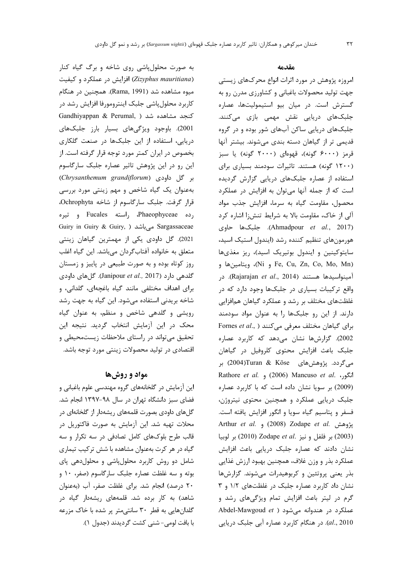به صورت محلول پاشی روی شاخه و برگ گیاه کنار (Zizyphus mauritiana) افزایش در عملکرد و کیفیت میوه مشاهده شد (Rama, 1991). همچنین در هنگام کاربرد محلول پاشی جلبک اینترومورفا افزایش رشد در Gandhiyappan & Perumal, ) كنجد مشاهده شد 2001). باوجود ویژگیهای بسیار بارز جلبکهای دریایی، استفاده از این جلبکها در صنعت گلکاری بخصوص در ایران کمتر مورد توجه قرار گرفته است. از این رو در این پژوهش تاثیر عصاره جلبک سارگاسوم بر گل داودی (Chrysanthemum grandiflorum) بهعنوان یک گیاه شاخص و مهم زینتی مورد بررسی قرار گرفت. جلبک سارگاسوم از شاخه Ochrophyta. رده Phaeophyceae، راسته Fucales و تیره Guiry in Guiry & Guiry, ) میباشد Sargassaceae 2021). گل داودی یکی از مهمترین گیاهان زینتی متعلق به خانواده آفتاب گردان میباشد. این گیاه اغلب روز کوتاه بوده و به صورت طبیعی در پاییز و زمستان گلدهی دارد (Janipour et al., 2017). گل های داودی برای اهداف مختلفی مانند گیاه باغچهای، گلدانی، و شاخه بریدنی استفاده میشود. این گیاه به جهت رشد رویشی و گلدهی شاخص و منظم، به عنوان گیاه محک در این آزمایش انتخاب گردید. نتیجه این تحقیق می تواند در راستای ملاحظات زیستمحیطی و اقتصادی در تولید محصولات زینتی مورد توجه باشد.

## مواد و روشها

این آزمایش در گلخانههای گروه مهندسی علوم باغبانی و فضای سبز دانشگاه تهران در سال ۹۸-۱۳۹۷ انجام شد. گلهای داودی بصورت قلمههای ریشهدار از گلخانهای در محلات تهيه شد. اين آزمايش به صورت فاكتوريل در قالب طرح بلوکهای کامل تصادفی در سه تکرار و سه گیاه در هر کرت بهعنوان مشاهده با شش ترکیب تیماری شامل دو روش کاربرد محلول پاشی و محلول دهی پای بوته و سه غلظت عصاره جلبک سارگاسوم (صفر، ١٠ و ۲۰ درصد) انجام شد. برای غلظت صفر، آب (بهعنوان شاهد) به کار برده شد. قلمههای ریشهدار گیاه در گلدانهایی به قطر ۳۰ سانتی متر پر شده با خاک مزرعه با بافت لومي- شني كشت گرديدند (جدول ١).

### مقدمه

امروزه پژوهش در مورد اثرات انواع محرکهای زیستی جهت تولید محصولات باغبانی و کشاورزی مدرن رو به گسترش است. در میان بیو استیمولیتها، عصاره جلبکھای دریایی نقش مهمی بازی میکنند. جلبکهای دریایی ساکن آبهای شور بوده و در گروه قدیمی تر از گیاهان دسته بندی میشوند. بیشتر آنها قرمز (۶۰۰۰ گونه)، قهوهای (۲۰۰۰ گونه) یا سبز (۱۲۰۰ گونه) هستند. تاثیرات سودمند بسیاری برای استفاده از عصاره جلبکهای دریایی گزارش گردیده است که از جمله آنها میتوان به افزایش در عملکرد محصول، مقاومت گیاه به سرما، افزایش جذب مواد آلی از خاک، مقاومت بالا به شرایط تنش;ا اشاره کرد (Ahmadpour et al., 2017). جلبکها حاوی هورمونهای تنظیم کننده رشد (ایندول استیک اسید، سایتوکینین و ایندول بوتیریک اسید)، ریز مغذیها (Ni و Fe, Cu, Zn, Co, Mo, Mn)، ويتامينها و 0. توبواسيدها هستند (Rajarajan et al., 2014). در واقع ترکیبات بسیاری در جلبکها وجود دارد که در غلظتهای مختلف بر رشد و عملکرد گیاهان همافزایی دارند. از این رو جلبکها را به عنوان مواد سودمند Fornes et al., ) برای گیاهان مختلف معرفی میکنند 2002). گزارشها نشان می دهد که کاربرد عصاره جلبک باعث افزایش محتوی کلروفیل در گیاهان میگردد. پژوهشهای Turan & Köse(2004) بر Rathore et al. (2006) Mancuso et al. انگور، (2009) بر سویا نشان داده است که با کاربرد عصاره جلبک دریایی عملکرد و همچنین محتوی نیتروژن، فسفر و پتاسیم گیاه سویا و انگور افزایش یافته است. يژوهش .Arthur et al. و (2008) Zodape et al. (2003) بر فلفل و نيز .Zodape et al (2010) بر لوبيا نشان دادند که عصاره جلبک دریایی باعث افزایش عملكرد بذر و وزن غلاف، همچنين بهبود ارزش غذايي بذر یعنی پروتئین و کربوهیدرات میشوند. گزارشها نشان داد کاربرد عصاره جلبک در غلظتهای ۱/۲ و ۳ گرم در لیتر باعث افزایش تمام ویژگیهای رشد و Abdel-Mawgoud et ) عملکرد در هندوانه می شود al., 2010). در هنگام کاربرد عصاره آبی جلبک دریایی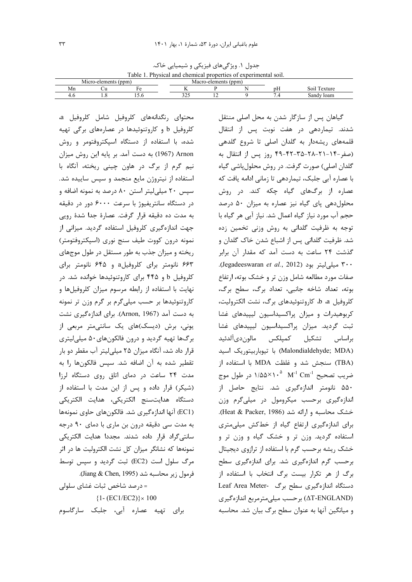جدول ١. ویژگیهای فیزیکی و شیمیایی خاک. Table 1 Physical and chemical properties of experimental soil

| TWOTO TO HOUSE WHO CHOMNOMEDIODOINTO OF CHOOLIMUSHIM SOME |                |       |             |                      |  |    |                |  |  |
|-----------------------------------------------------------|----------------|-------|-------------|----------------------|--|----|----------------|--|--|
|                                                           | Micro-elements | (ppm. |             | Macro-elements (ppm) |  |    |                |  |  |
| VI n                                                      |                |       |             |                      |  | DН | S01J<br>exture |  |  |
| т.с.                                                      | ⊍              | 19.U  | 22<br>ر _ ر |                      |  |    | sandy<br>⊤loam |  |  |

محتوای <sub>د</sub>نگدانههای کلروفیل شامل کلروفیل a، کلروفیل b و کاروتنوئیدها در عصارههای برگی تهیه شده، با استفاده از دستگاه اسیکتروفتومر و روش Arnon (1967) به دست آمد. بر پایه این روش میزان نيم گرم از برگ در هاون چيني ريخته، آنگاه با استفاده از نیتروژن مایع منجمد و سپس ساییده شد. سیس ۲۰ میلی لیتر استن ۸۰ درصد به نمونه اضافه و در دستگاه سانتریفیوژ با سرعت ۶۰۰۰ دور در دقیقه به مدت ده دقیقه قرار گرفت. عصارهٔ جدا شدهٔ رویی جهت اندازهگیری کلروفیل استفاده گردید. میزانی از نمونه درون كووت طيف سنج نوري (اسپكتروفتومتر) ریخته و میزان جذب به طور مستقل در طول موجهای ۶۶۳ نانومتر برای کلروفیلa و ۶۴۵ نانومتر برای کلروفیل b و ۴۴۵ برای کاروتنوئیدها خوانده شد. در نهایت با استفاده از رابطه مرسوم میزان کلروفیلها و کاروتنوئیدها بر حسب میلیگرم بر گرم وزن تر نمونه به دست آمد (Arnon, 1967). برای اندازهگیری نشت یونی، برش (دیسک)های یک سانتی متر مربعی از برگ ها تهيه گرديد و درون فالکونهاي٠۵٠ ميليليتري قرار داد شد، آنگاه میزان ۲۵ میلی لیتر آب مقطر دو بار تقطير شده به آن اضافه شد. سيس فالكونها را به مدت ٢۴ ساعت در دمای اتاق روی دستگاه لرزا (شیکر) قرار داده و پس از این مدت با استفاده از دستگاه هدایتسنج الکتریکی، هدایت الکتریکی (EC1) آنها اندازه گیری شد. فالکونهای حاوی نمونهها به مدت سی دقیقه درون بن ماری با دمای ۹۰ درجه سانتی گراد قرار داده شدند. مجددا هدایت الکتریکی نمونهها که نشانگر میزان کل نشت الکترولیت ها در اثر مرگ سلول است (EC2) ثبت گردید و سپس توسط فرمول زير محاسبه شد (Jiang & Chen, 1995). = درصد شاخص ثبات غشای سلولی

 $\{1 - (EC1/EC2)\} \times 100$ برای تهیه عصاره آبی، جلبک سارگاسوم

گیاهان پس از سازگار شدن به محل اصلی منتقل شدند. تیماردهی در هفت نوبت پس از انتقال قلمههای ریشهدار به گلدان اصلی تا شروع گلدهی (صفر-۲۴-۲۸-۲۸-۳۵-۴۲-۴۹ روز پس از انتقال به گلدان اصلی) صورت گرفت. در روش محلول پاشی گیاه با عصاره آبی جلبک، تیماردهی تا زمانی ادامه یافت که عصاره از برگهای گیاه چکه کند. در روش محلول دهی پای گیاه نیز عصاره به میزان ۵۰ درصد حجم آب مورد نیاز گیاه اعمال شد. نیاز آبی هر گیاه با توجه به ظرفیت گلدانی به روش وزنی تخمین زده شد. ظرفیت گلدانی پس از اشباع شدن خاک گلدان و گذشت ٢۴ ساعت به دست آمد که مقدار آن برابر ٣٠٠ ميلي ليتر بود (Jegadeeswaran et al., 2012). صفات مورد مطالعه شامل وزن تر و خشک بوته، ارتفاع بوته، تعداد شاخه جانبي، تعداد برگ، سطح برگ، كلروفيل a، b، كاروتنوئيدهاي برگ، نشت الكتروليت، کربوهیدرات و میزان پراکسیداسیون لیپیدهای غشا ثبت گردید. میزان پراکسیداسیون لیپیدهای غشا براساس تشكيل كميلكس مالون،ي[لدئيد (Malondialdehyde; MDA) با تيوباربيتوريک اسيد (TBA) سنجش شد و غلظت MDA با استفاده از ضريب تصحيح M $^{-1}$  Cm $^{-1}$   $\sim$  1/۵۵ $\times$  1 در طول موج ۵۵۰ نانومتر اندازهگیری شد. نتایج حاصل از اندازهگیری برحسب میکرومول در میلیگرم وزن خشک محاسبه و ارائه شد (Heat & Packer, 1986). برای اندازهگیری ارتفاع گیاه از خطکش میلی متری استفاده گردید. وزن تر و خشک گیاه و وزن تر و خشک ریشه برحسب گرم با استفاده از ترازوی دیجیتال برحسب گرم اندازهگیری شد. برای اندازهگیری سطح برگ از هر تکرار بیست برگ انتخاب با استفاده از دستگاه اندازهگیری سطح برگ -Leaf Area Meter (ΔT-ENGLAND) برحسب میلی مترمربع اندازهگیری و میانگین آنها به عنوان سطح برگ بیان شد. محاسبه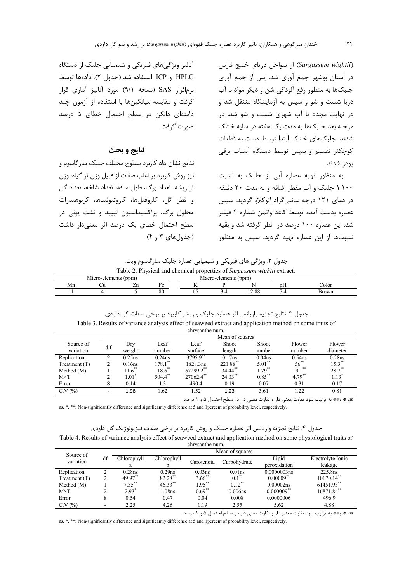(Sargassum wightii) از سواحل دریای خلیج فارس در استان بوشهر جمع آوری شد. پس از جمع آوری .<br>جلبکها به منظور رفع آلودگی شن و دیگر مواد با آب دریا شست و شو و سپس به آزمایشگاه منتقل شد و در نهایت مجدد با آب شهری شست و شو شد. در مرحله بعد جلبکها به مدت یک هفته در سایه خشک شدند. جلبکهای خشک ابتدا توسط دست به قطعات کوچکتر تقسیم و سپس توسط دستگاه آسیاب برقی يودر شدند.

به منظور تهیه عصاره آبی از جلبک به نسبت ۱:۱۰۰ جلبک و آب مقطر اضافه و به مدت ۲۰ دقیقه در دمای ۱۲۱ درجه سانتی گراد اتوکلاو گردید. سیس عصاره بدست آمده توسط كاغذ واتمن شماره ۴ فيلتر شد. این عصاره ۱۰۰ درصد در ِ نظر گرفته شد و بقیه نسبتها از این عصاره تهیه گردید. سپس به منظور

آنالیز ویژگی های فیزیکی و شیمیایی جلبک از دستگاه HPLC و ICP استفاده شد (جدول ٢). دادهها توسط نرمافزار SAS (نسخه ۹/۱) مورد آنالیز آماری قرار گرفت و مقایسه میانگینها با استفاده از آزمون چند دامنهای دانکن در سطح احتمال خطای ۵ درصد صورت گرفت.

### نتايج و بحث

نتایج نشان داد کاربرد سطوح مختلف جلبک سارگاسوم و نیز روش کاربرد بر اغلب صفات از قبیل وزن تر گیاه، وزن تر ریشه، تعداد برگ، طول ساقه، تعداد شاخه، تعداد گل و قطر گل، كلروفيلها، كاروتنوئيدها، كربوهيدرات محلول برگ، پراکسیداسیون لیپید و نشت یونی در سطح احتمال خطای یک درصد اثر معنیدار داشت (جدولهای ۳ و ۴).

| Table 2. Physical and chemical properties of Sargassum wightile extract. |  |  |  |  |
|--------------------------------------------------------------------------|--|--|--|--|
|                                                                          |  |  |  |  |

|    | ∴ner | (ppm<br><u>. д</u> |    | мл  | $-$<br>PPHI                                 |    |      |  |
|----|------|--------------------|----|-----|---------------------------------------------|----|------|--|
| Mn |      | -                  |    | $-$ |                                             | DП | olor |  |
|    |      |                    | эı | . . | $\Omega$<br>$\overline{\phantom{a}}$<br>.oc |    |      |  |
|    |      |                    |    |     |                                             |    |      |  |

جدول ٣. نتايج تجزيه واريانس اثر عصاره جلبک و روش کاربرد بر برخي صفات گل داودي.

Table 3. Results of variance analysis effect of seaweed extract and application method on some traits of chrysanthemum.

| Mean of squares |           |                      |           |                     |                    |                        |           |  |
|-----------------|-----------|----------------------|-----------|---------------------|--------------------|------------------------|-----------|--|
|                 | Dry       | Leaf                 | Leaf      | Shoot               | Shoot              | Flower                 | Flower    |  |
|                 | weight    | number               | surface   | length              | number             | number                 | diameter  |  |
|                 | $0.25$ ns | $0.24$ ns            | 3795.9**  | 0.17ns              | 0.04 <sub>ns</sub> | $0.54$ ns              | $0.28$ ns |  |
|                 | $0.16$ ns | $178.1***$           | 1828.3ns  | 221.88**            | $5.01***$          | $56^{**}$              | $15.3***$ |  |
|                 |           | $118.6$ **           | 67299.2** | 34.44 <sup>**</sup> |                    | $19.1$ **              | $28.7***$ |  |
|                 | 1.01"     | $504.4$ **           | 27062.4** | $24.03***$          |                    | $4.79**$               | $1.13*$   |  |
|                 | 0.14      | 1.3                  | 490.4     | 0.19                | 0.07               | 0.31                   | 0.17      |  |
|                 | 1.98      | 1.62                 | 1.52      | 1.23                | 3.61               | 1.22                   | 0.81      |  |
|                 | d.f       | $11.6$ <sup>**</sup> |           |                     |                    | $1.79***$<br>$0.85***$ |           |  |

as \* و\*\* به ترتیب نبود تفاوت معنی دار و تفاوت معنی دار در سطح احتمال ۵ و ۱ درصد.

ns, \*, \*\*: Non-significantly difference and significantly difference at 5 and 1 percent of probability level, respectively.

| جدول ۴. نتایج تجزیه واریانس اثر عصاره جلبک و روش کاربرد بر برخی صفات فیزیولوژیک گل داودی |  |
|------------------------------------------------------------------------------------------|--|
|------------------------------------------------------------------------------------------|--|

Table 4. Results of variance analysis effect of seaweed extract and application method on some physiological traits of chrysanthemum.

| Source of       |    | Mean of squares |                    |                      |              |                         |                   |  |
|-----------------|----|-----------------|--------------------|----------------------|--------------|-------------------------|-------------------|--|
| variation       | df | Chlorophyll     | Chlorophyll        | Carotenoid           | Carbohydrate | Lipid                   | Electrolyte Ionic |  |
|                 |    | a               |                    |                      |              | peroxidation            | leakage           |  |
| Replication     |    | $0.28$ ns       | $0.29$ ns          | 0.03 <sub>ns</sub>   | $0.01$ ns    | 0.0000003ns             | 225.8ns           |  |
| Treatment $(T)$ |    | 49.97**         | $82.28$ **         | $3.66$ <sup>**</sup> | $0.1***$     | $0.00009$ <sup>**</sup> | $10170.14$ **     |  |
| Method (M)      |    | $7.35***$       | $46.33***$         | $1.95***$            | $0.12***$    | $0.00002$ ns            | 61451.93**        |  |
| $M \times T$    |    | $2.93*$         | 1.08 <sub>ns</sub> | $0.69**$             | 0.006ns      | $0.000009$ **           | 16871.84**        |  |
| Error           |    | 0.54            | 0.47               | 0.04                 | 0.008        | 0.0000006               | 496.9             |  |
| C.V(%)          |    | 2.25            | 4.26               | 1.19                 | 2.55         | 5.62                    | 4.88              |  |

as \* و\*\* به ترتیب نبود تفاوت معنی دار و تفاوت معنی دار در سطح احتمال ۵ و ۱ درصد.

ns, \*, \*\*: Non-significantly difference and significantly difference at 5 and 1 percent of probability level, respectively.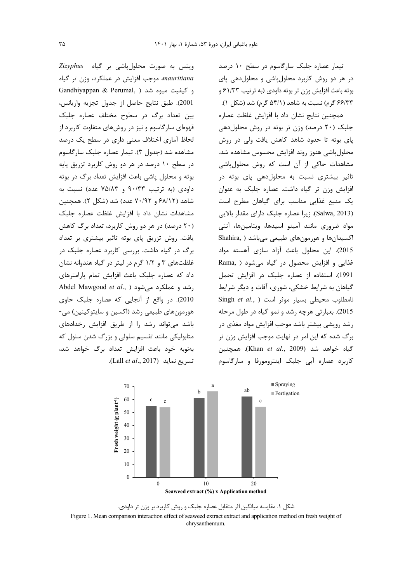تیمار عصاره جلبک سارگاسوم در سطح ۱۰ درصد در هر دو روش کاربرد محلول پاشی و محلول دهی پای بوته باعث افزايش وزن تر بوته داودي (به ترتيب ۶۱/۳۳ و ۶۶/۳۳ گرم) نسبت به شاهد (۵۴/۱ گرم) شد (شکل ۱).

همچنین نتایج نشان داد با افزایش غلظت عصاره جلبک (۲۰ درصد) وزن تر بوته در روش محلول دهی پای بوته تا حدود شاهد کاهش یافت ولی در روش محلول یاشی هنوز روند افزایش محسوس مشاهده شد. مشاهدات حاکی از آن است که روش محلول یاشی تاثیر بیشتری نسبت به محلولدهی پای بوته در افزایش وزن تر گیاه داشت. عصاره جلبک به عنوان یک منبع غذایی مناسب برای گیاهان مطرح است (Salwa, 2013). زيرا عصاره جلبک داراي مقدار بالايي مواد ضروری مانند آمینو اسیدها، ویتامینها، آنتی اکسیدانها و هورمونهای طبیعی میباشد ( Shahira 2015). این محلول باعث آزاد سازی آهسته مواد غذایی و افزایش محصول در گیاه می شود ( ,Rama 1991). استفاده از عصاره جلبک در افزایش تحمل گیاهان به شرایط خشکی، شوری، آفات و دیگر شرایط Singh et al., ) نامطلوب محیطی بسیار موثر است 2015). بعبارتي هرچه رشد و نمو گياه در طول مرحله رشد رویشی بیشتر باشد موجب افزایش مواد مغذی در برگ شده که این امر در نهایت موجب افزایش وزن تر گياه خواهد شد (Khan et al., 2009). همچنين کاربرد عصاره آبی جلبک اینترومورفا و سارگاسوم

ویتس به صورت محلولپاشی بر گیاه Zizyphus mauritiana، موجب افزایش در عملکرد، وزن تر گیاه Gandhiyappan & Perumal, ) میغیت میوه شد 2001). طبق نتايج حاصل از جدول تجزيه واريانس، بین تعداد برگ در سطوح مختلف عصاره جلبک قهوهای سارگاسوم و نیز در روشهای متفاوت کاربرد از لحاظ آماری اختلاف معنی داری در سطح یک درصد مشاهده شد (جدول ٣). تیمار عصاره جلبک سارگاسوم در سطح ۱۰ درصد در هر دو روش کاربرد تزریق پایه بوته و محلول پاشی باعث افزایش تعداد برگ در بوته داودی (به ترتیب ۹۰/۳۳ و ۷۵/۸۳ عدد) نسبت به شاهد (۶۸/۱۲ و ۷۰/۹۲ عدد) شد (شکل ۲). همچنین مشاهدات نشان داد با افزایش غلظت عصاره جلبک (۲۰ درصد) در هر دو روش کاربرد، تعداد برگ کاهش یافت. روش تزریق یای بوته تاثیر بیشتری بر تعداد برگ در گیاه داشت. بررسی کاربرد عصاره جلبک در غلظتهای ۳ و ۱/۲ گرم در لیتر در گیاه هندوانه نشان داد که عصاره جلبک باعث افزایش تمام پارامترهای Abdel Mawgoud et al., ) رشد و عملکرد می شود 2010). در واقع از آنجایی که عصاره جلبک حاوی هورمونهای طبیعی رشد (اکسین و سایتوکینین) می-باشد می تواند ,شد ,ا از طریق افزایش ,خدادهای متابولیکی مانند تقسیم سلولی و بزرگ شدن سلول که بهنوبه خود باعث افزایش تعداد برگ خواهد شد، تسريع نمايد (Lall et al., 2017).



شکل ۱. مقایسه میانگین اثر متقابل عصاره جلبک و روش کاربرد بر وزن تر داودی. Figure 1. Mean comparison interaction effect of seaweed extract extract and application method on fresh weight of chrysanthemum.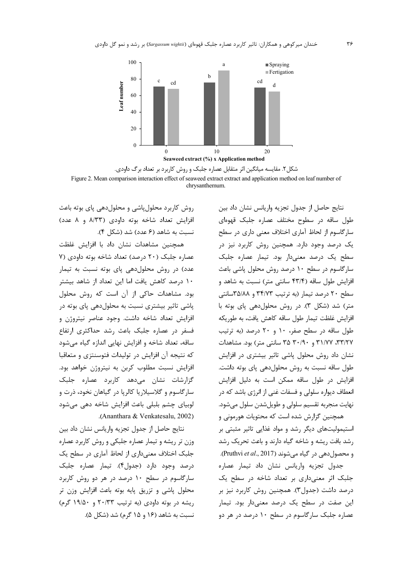

شکل۲. مقایسه میانگین اثر متقابل عصاره جلبک و روش کاربرد بر تعداد برگ داودی. Figure 2. Mean comparison interaction effect of seaweed extract extract and application method on leaf number of chrysanthemum.

افزایش تعداد شاخه بوته داودی (۸/۳۳ و ۸ عدد) نسبت به شاهد (۶ عدد) شد (شکل ۴). همچنین مشاهدات نشان داد با افزایش غلظت عصاره جلبک (٢٠ درصد) تعداد شاخه بوته داودي (٧ عدد) در روش محلول دهی یای بوته نسبت به تیمار ۱۰ درصد کاهش یافت اما این تعداد از شاهد بیشتر بود. مشاهدات حاکی از آن است که روش محلول یاشی تاثیر بیشتری نسبت به محلول دهی یای بوته در افزایش تعداد شاخه داشت. وجود عناصر نیتروژن و فسفر در عصاره جلبک باعث رشد حداکثری ارتفاع ساقه، تعداد شاخه و افزایش نهایی اندازه گیاه می شود که نتیجه آن افزایش در تولیدات فتوسنتزی و متعاقبا افزایش نسبت مطلوب کربن به نیتروژن خواهد بود. گزارشات نشان میدهد کاربرد عصاره جلبک سار گاسوم و گلاسیلاریا کالریا در گیاهان نخود، ذرت و لوبیای چشم بلبلی باعث افزایش شاخه دهی می شود .(Ananthara & Venkatesalu, 2002)

روش کاربرد محلول پاشی و محلول دهی پای بوته باعث

نتايج حاصل از جدول تجزيه واريانس نشان داد بين وزن تر ریشه و تیمار عصاره جلبکی و روش کاربرد عصاره جلبک اختلاف معنی داری از لحاظ آماری در سطح یک درصد وجود دارد (جدول۴). تیمار عصاره جلبک سارگاسوم در سطح ۱۰ درصد در هر دو روش کاربرد محلول پاشی و تزریق پایه بوته باعث افزایش وزن تر ریشه در بوته داودی (به ترتیب ٢٠/٣٣ و ١٩/٥٠ گرم) نسبت به شاهد (۱۶ و ۱۵ گرم) شد (شکل ۵).

نتايج حاصل از جدول تجزيه واريانس نشان داد بين طول ساقه در سطوح مختلف عصاره جلبک قهوهای سارگاسوم از لحاظ آماری اختلاف معنی داری در سطح یک درصد وجود دارد. همچنین روش کاربرد نیز در سطح یک درصد معنیدار بود. تیمار عصاره جلبک سارگاسوم در سطح ۱۰ درصد روش محلول پاشی باعث افزایش طول ساقه (۴۳/۴ سانتی متر) نسبت به شاهد و سطح ٢٠ درصد تيمار (به ترتيب ٣۴/٧٣ و ٣٨/٨٨سانتي متر) شد (شکل ۳). در روش محلول دهی یای بوته با افزایش غلظت تیمار طول ساقه کاهش یافت، به طوریکه طول ساقه در سطح صفر، ١٠ و ٢٠ درصد (به ترتيب ۳۱/۷۷، ۳۱/۷۷ و ۳۰/۹۰ ۳۵ سانتی متر) بود. مشاهدات نشان داد روش محلول پاشی تاثیر بیشتری در افزایش طول ساقه نسبت به روش محلول دهی یای بوته داشت. افزایش در طول ساقه ممکن است به دلیل افزایش انعطاف دیواره سلول<sub>ی</sub> و فسفات غنی از انرژی باشد که در نهايت منجربه تقسيم سلولي و طويل شدن سلول مي شود.

همچنین گزارش شده است که محتویات هورمونی و استیمولیتهای دیگر رشد و مواد غذایی تاثیر مثبتی بر رشد بافت ریشه و شاخه گیاه دارند و باعث تحریک رشد و محصول دهی در گیاه می شوند (Pruthvi et al., 2017).

جدول تجزيه واريانس نشان داد تيمار عصاره جلبک اثر معنیداری بر تعداد شاخه در سطح یک درصد داشت (جدول۳). همچنین روش کاربرد نیز بر این صفت در سطح یک درصد معنیدار بود. تیمار عصاره جلبک سارگاسوم در سطح ۱۰ درصد در هر دو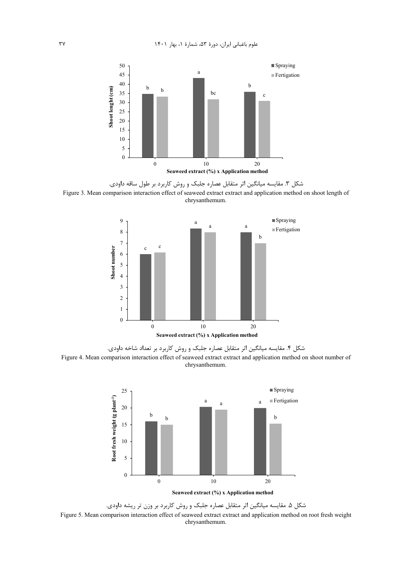





شکل ۴. مقایسه میانگین اثر متقابل عصاره جلبک و روش کاربرد بر تعداد شاخه داودی. Figure 4. Mean comparison interaction effect of seaweed extract extract and application method on shoot number of chrysanthemum.



شکل ۵. مقایسه میانگین اثر متقابل عصاره جلبک و روش کاربرد بر وزن تر ریشه داودی. Figure 5. Mean comparison interaction effect of seaweed extract extract and application method on root fresh weight chrysanthemum.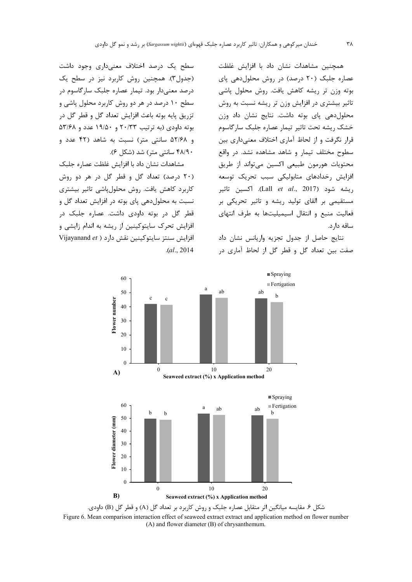همچنین مشاهدات نشان داد با افزایش غلظت عصاره جلبک (٢٠ درصد) در روش محلول دهی پای بوته وزن تر ریشه کاهش یافت. روش محلول یاشی تاثیر بیشتری در افزایش وزن تر ریشه نسبت به روش محلول دهی یای بوته داشت. نتایج نشان داد وزن خشک ریشه تحت تاثیر تیمار عصاره جلبک سارگاسوم قرار نگرفت و از لحاظ آماری اختلاف معنی داری بین سطوح مختلف تیمار و شاهد مشاهده نشد. در واقع محتويات هورمون طبيعي اكسين مي تواند از طريق افزایش رخدادهای متابولیکی سبب تحریک توسعه , يشه شود (Lall *et al.,* 2017). اكسين تاثير مستقیمی بر القای تولید ریشه و تاثیر تحریکی بر فعالیت منبع و انتقال اسیمیلیتها به طرف انتهای ساقه دارد.

نتايج حاصل از جدول تجزيه واريانس نشان داد صفت بین تعداد گل و قطر گل از لحاظ آماری در

سطح یک درصد اختلاف معنیداری وجود داشت (جدول۳). همچنین روش کاربرد نیز در سطح یک درصد معنی دار بود. تیمار عصاره جلبک سارگاسوم در سطح ۱۰ درصد در هر دو روش کاربرد محلول پاشی و تزريق پايه بوته باعث افزايش تعداد گل و قطر گل در بوته داودی (به ترتیب ۲۰/۳۳ و ۱۹/۵۰ عدد و ۵۳/۶۸ و ۵۲/۶۸ سانتی متر) نسبت به شاهد (۴۲ عدد و ۴۸/۹۰ سانتی متر) شد (شکل ۶).

مشاهدات نشان داد با افزایش غلظت عصاره جلبک (۲۰ درصد) تعداد گل و قطر گل در هر دو روش کاربرد کاهش یافت. روش محلولپاشی تاثیر بیشتری نسبت به محلول دهی یای بوته در افزایش تعداد گل و قطر گل در بوته داودی داشت. عصاره جلبک در افزایش تحرک سایتوکینین از ریشه به اندام زایشی و Vijayanand et ) افزايش سنتز سايتوكينين نقش دارد  $. (al., 2014)$ 



شکل ۶. مقایسه میانگین اثر متقابل عصاره جلبک و روش کاربرد بر تعداد گل (A) و قطر گل (B) داودی. Figure 6. Mean comparison interaction effect of seaweed extract extract and application method on flower number (A) and flower diameter (B) of chrysanthemum.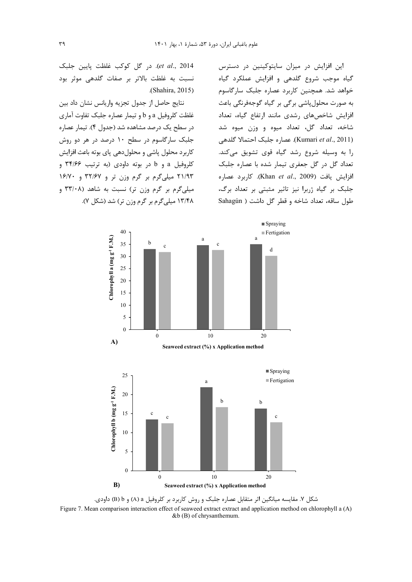این افزایش در میزان سایتوکینین در دسترس گیاه موجب شروع گلدهی و افزایش عملکرد گیاه .<br>خواهد شد. همچنین کاربرد عصاره جلبک سارگاسوم به صورت محلول پاشی برگی بر گیاه گوجهفرنگی باعث افزایش شاخصهای رشدی مانند ارتفاع گیاه، تعداد شاخه، تعداد گل، تعداد میوه و وزن میوه شد (Kumari et al., 2011). عصاره جلبک احتمالا گلدهی را به وسیله شروع رشد گیاه قوی تشویق میکند. تعداد گل در گل جعفری تیمار شده با عصاره جلبک افزايش يافت (Khan et al., 2009). كاربرد عصاره جلبک بر گیاه ژربرا نیز تاثیر مثبتی بر تعداد برگ، طول ساقه، تعداد شاخه و قطر گل داشت ( Sahagún

et al., 2014). در گل کوکب غلظت پایین جلبک نسبت به غلظت بالاتر بر صفات گلدهی موثر بود (Shahira, 2015).

.<br>نتايج حاصل از جدول تجزيه واريانس نشان داد بين غلظت کلروفیل a و b و تیمار عصاره جلبک تفاوت آماری در سطح یک درصد مشاهده شد (جدول ۴). تیمار عصاره جلبک سارگاسوم در سطح ۱۰ درصد در هر دو روش كاربرد محلول ياشي و محلول دهي ياي بوته باعث افزايش کلروفيل a و b در بوته داودي (به ترتيب ۳۴/۶۶ و ۲۱/۹۳ میلیگرم بر گرم وزن تر و ۳۲/۶۷ و ۱۶/۷۰ میلی گرم بر گرم وزن تر) نسبت به شاهد (۳۳/۰۸ و ۱۳/۴۸ میلی گرم بر گرم وزن تر) شد (شکل ۷).



شکل ۷. مقایسه میانگین اثر متقابل عصاره جلبک و روش کاربرد بر کلروفیل a (A) و B) b) داودی. Figure 7. Mean comparison interaction effect of seaweed extract extract and application method on chlorophyll a (A) &b (B) of chrysanthemum.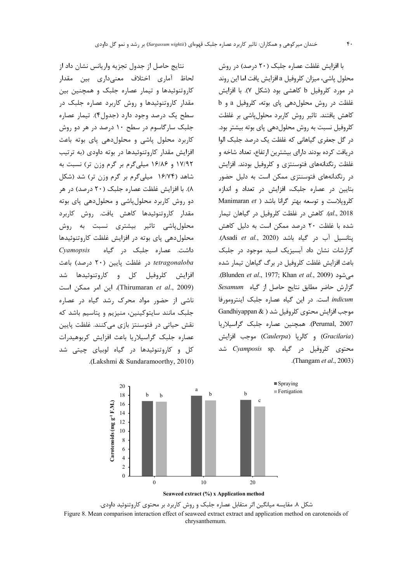نتايج حاصل از جدول تجزيه واريانس نشان داد از لحاظ آماري اختلاف معنىدارى بين مقدار کاروتنوئیدها و تیمار عصاره جلبک و همچنین بین مقدار کاروتنوئیدها و روش کاربرد عصاره جلبک در سطح یک درصد وجود دارد (جدول۴). تیمار عصاره جلبک سارگاسوم در سطح ۱۰ درصد در هر دو روش کاربرد محلول پاشی و محلول دهی پای بوته باعث افزایش مقدار کاروتنوئیدها در بوته داودی (به ترتیب ۱۷/۹۲ و ۱۶/۸۶ میلی گرم بر گرم وزن تر) نسبت به شاهد (۱۶/۷۴ میلیگرم بر گرم وزن تر) شد (شکل ۸). با افزایش غلظت عصاره جلبک (۲۰ درصد) در هر دو روش کاربرد محلول یاشی و محلول دهی یای بوته مقدار کاروتنوئیدها کاهش یافت. روش کاربرد محلولپاشی تاثیر بیشتری نسبت به روش محلول دهی یای بوته در افزایش غلظت کاروتنوئیدها داشت. عصاره جلبک در گیاه Cyamopsis tetragonaloba در غلظت پایین (۲۰ درصد) باعث افزايش كلروفيل كل و كاروتنوئيدها شد (Thirumaran et al., 2009). این امر ممکن است .<br>ناشی از حضور مواد محرک رشد گیاه در عصاره جلبک مانند سایتوکینین، منیزیم و پتاسیم باشد که نقش حیاتی در فتوسنتز بازی می کنند. غلظت پایین عصاره جلبک گراسیلاریا باعث افزایش کربوهیدرات کل و کاروتنوئیدها در گیاه لوبیای چیتی شد .(Lakshmi & Sundaramoorthy, 2010).

با افزایش غلظت عصاره جلبک (۲۰ درصد) در روش محلول پاشي، ميزان كلروفيل a افزايش يافت اما اين روند در مورد کلروفیل b کاهشی بود (شکل ۷). با افزایش غلظت در روش محلول دهی یای بوته، کلروفیل a و b كاهش يافتند. تاثير روش كاربرد محلول پاشي بر غلظت كلروفيل نسبت به روش محلول دهي ياي بوته بيشتر بود. در گل جعفری گیاهانی که غلظت یک درصد جلبک الوا دریافت کرده بودند دارای بیشترین ارتفاع، تعداد شاخه و غلظت رنگدانههای فتوسنتزی و کلروفیل بودند. افزایش در رنگدانههای فتوسنتزی ممکن است به دلیل حضور بتایین در عصاره جلبک، افزایش در تعداد و اندازه Manimaran et ) كلرويلاست و توسعه بهتر گرانا باشد al., 2018). كاهش در غلظت كلروفيل در گياهان تيمار شده با غلظت ٢٠ درصد ممكن است به دليل كاهش يتانسيل آب در گياه باشد (Asadi et al., 2020). گزارشات نشان داد آبسیزیک اسید موجود در جلبک باعث افزایش غلظت کلروفیل در برگ گیاهان تیمار شده می شود (Blunden et al., 1977; Khan et al., 2009). گزارش حاضر مطابق نتايج حاصل از گياه Sesamum indicum است. در این گیاه عصاره جلبک اینترومورفا Gandhiyappan & ) موجب افزایش محتوی کلروفیل شد Perumal, 2007). همچنین عصاره جلبک گراسیلاریا (Gracilaria) و كالريا (Caulerpa) موجب افزايش شد Cyamposis sp. محتوى كلروفيل در گياه . .(Thangam et al., 2003).



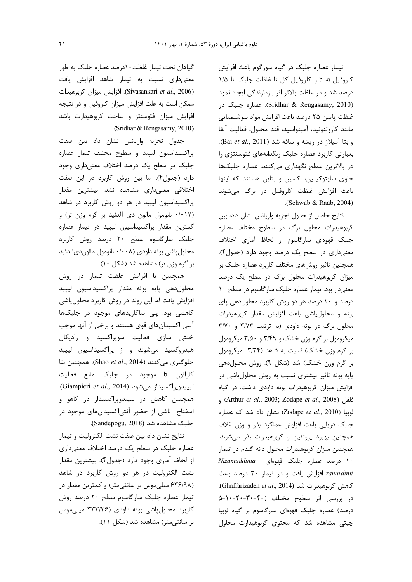تیمار عصاره جلبک در گیاه سورگوم باعث افزایش كلروفيل b a و كلروفيل كل تا غلظت جلبك تا ١/٥ درصد شد و در غلظت بالاتر اثر بازدارندگی ایجاد نمود (Sridhar & Rengasamy, 2010). عصاره جلبک در غلظت پایین ۲۵ درصد باعث افزایش مواد بیوشیمیایی مانند كاروتنوئيد، آمينواسيد، قند محلول، فعاليت آلفا وبتا آميلاز در ريشه و ساقه شد (Bai et al., 2011). بعبارتی کاربرد عصاره جلبک رنگدانههای فتوسنتزی را در بالاترین سطح نگهداری می کنند. عصاره جلبکها حاوی سایتوکینین، اکسین و بتاین هستند که اینها باعث افزایش غلظت کلروفیل در برگ میشوند (Schwab & Raab, 2004).

نتايج حاصل از جدول تجزيه واريانس نشان داد، بين کربوهیدرات محلول برگ در سطوح مختلف عصاره جلبک قهوهای سارگاسوم از لحاظ آماری اختلاف معنیداری در سطح یک درصد وجود دارد (جدول۴). همچنین تاثیر روشهای مختلف کاربرد عصاره جلبک بر میزان کربوهیدرات محلول برگ در سطح یک درصد معنیدار بود. تیمار عصاره جلبک سارگاسوم در سطح ۱۰ درصد و ۲۰ درصد هر دو روش کاربرد محلولدهی پای بوته و محلول پاشی باعث افزایش مقدار کربوهیدرات محلول برگ در بوته داودی (به ترتیب ٣/٧٣ و ٣/٧٠ میکرومول بر گرم وزن خشک و ۳/۴۹ و ۳/۵۰ میکرومول بر گرم وزن خشک) نسبت به شاهد (۳/۳۴ میکرومول بر گرم وزن خشک) شد (شکل ۹). روش محلول دهی پایه بوته تاثیر بیشتری نسبت به روش محلولپاشی در افزایش میزان کربوهیدرات بوته داودی داشت. در گیاه et al., 2008) (Arthur et al., 2003; Zodape et al., 2008)  $\epsilon$ et al., 2010) نشان داد شد که عصاره جلبک دریایی باعث افزایش عملکرد بذر و وزن غلاف همچنین بهبود پروتئین و کربوهیدرات بذر می شوند. همچنین میزان کربوهیدرات محلول دانه گندم در تیمار ١٠ درصد عصاره جلبک قهوهای Nizamuddinia zanardinii افزایش یافت و در تیمار ٢٠ درصد باعث Chaffarizadeh et al., 2014). (Ghaffarizadeh et al., 2014). در بررسی اثر سطوح مختلف (۴۰-۳۰-۲۰-۵-۵ درصد) عصاره جلبک قهوهای سارگاسوم بر گیاه لوبیا چیتی مشاهده شد که محتوی کربوهیدارت محلول

گیاهان تحت تیمار غلظت۱۰درصد عصاره جلبک به طور معنیداری نسبت به تیمار شاهد افزایش یافت (Sivasankari et al., 2006). افزايش ميزان كربوهيدات ممکن است به علت افزایش میزان کلروفیل و در نتیجه افزایش میزان فتوسنتز و ساخت کربوهیدارت باشد .(Sridhar & Rengasamy, 2010)

جدول تجزیه واریانس نشان داد بین صفت پراکسیداسیون لیپید و سطوح مختلف تیمار عصاره جلبک در سطح یک درصد اختلاف معنیداری وجود دارد (جدول۴). اما بين روش كاربرد در اين صفت اختلافی معنیداری مشاهده نشد. بیشترین مقدار پراکسیداسیون لیپید در هر دو روش کاربرد در شاهد (۰/۰۱۷ نانومول مالون دی آلدئید بر گرم وزن تر) و كمترين مقدار پراكسيداسيون ليپيد در تيمار عصاره جلبک سارگاسوم سطح ۲۰ درصد روش کاربرد محلول پاشي بوته داودي (۰/۰۰۸ نانومول مالون دي آلدئيد بر گرم وزن تر) مشاهده شد (شکل ۱۰).

همچنین با افزایش غلظت تیمار در روش محلول دهى پايه بوته مقدار پراكسيداسيون ليپيد افزایش یافت اما این روند در روش کاربرد محلولپاشی کاهشی بود. پلی ساکاریدهای موجود در جلبکها آنتی اکسیدانهای قوی هستند و برخی از آنها موجب خنثی سازی فعالیت سوپراکسید و رادیکال هیدروکسید میشوند و از پراکسیداسیون لیپید جلوگیری می کنند (Shao et al., 2014). همچنین بتا کاراتون b موجود در جلبک مانع فعالیت ليپيدوپراكسيداز مى شود (Giampieri et al., 2014). همچنین کاهش در لیپیدوپراکسیداز در کاهو و اسفناج ناشی از حضور آنتیاکسیدانهای موجود در جلبک مشاهده شد (Sandepogu, 2018).

نتايج نشان داد بين صفت نشت الكتروليت و تيمار عصاره جلبک در سطح یک درصد اختلاف معنیداری از لحاظ آماری وجود دارد (جدول۴). بیشترین مقدار نشت الکترولیت در هر دو روش کاربرد در شاهد (۶۳۶/۹۸ میلی موس بر سانتی متر) و کمترین مقدار در تیمار عصاره جلبک سارگاسوم سطح ۲۰ درصد روش کاربرد محلولپاشی بوته داودی (۳۳۳/۳۶ میلی موس بر سانتی متر) مشاهده شد (شکل ١١).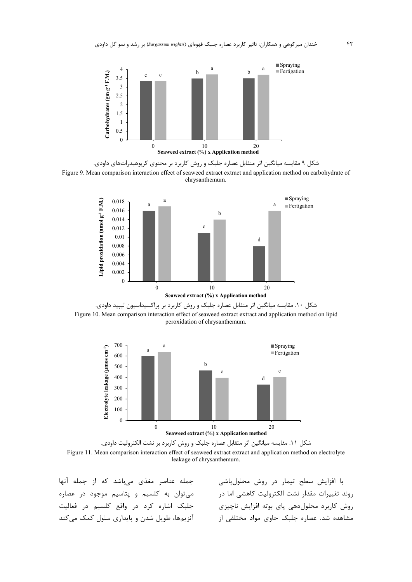

شکل ۹ مقایسه میانگین اثر متقابل عصاره جلبک و روش کاربرد بر محتوی کربوهیدراتهای داودی. Figure 9. Mean comparison interaction effect of seaweed extract extract and application method on carbohydrate of chrysanthemum.









جمله عناصر مغذى مىباشد كه از جمله آنها می توان به کلسیم و پتاسیم موجود در عصاره جلبک اشاره کرد در واقع کلسیم در فعالیت أنزيمها، طويل شدن و پايداري سلول كمک مي كند

با افزایش سطح تیمار در روش محلولپاشی روند تغييرات مقدار نشت الكتروليت كاهشى اما در روش کاربرد محلول دهی یای بوته افزایش ناچیزی مشاهده شد. عصاره جلبک حاوی مواد مختلفی از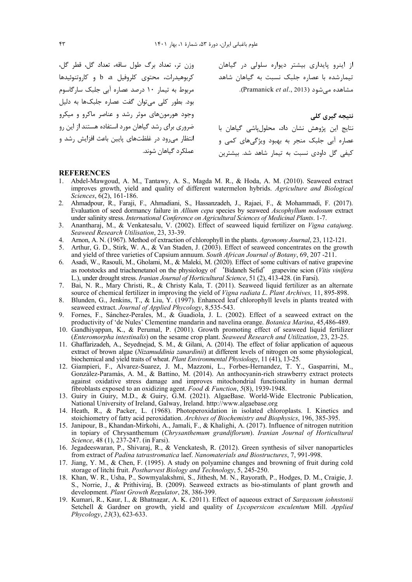کربوهیدرات، محتوی کلروفیل a b و کاروتنوئیدها مربوط به تیمار ١٠ درصد عصاره آبی جلبک سارگاسوم بود. بطور کلی می توان گفت عصاره جلبکها به دلیل وجود هورمونهای موثر رشد و عناصر ماکرو و میکرو ضروری برای رشد گیاهان مورد استفاده هستند از این رو انتظار می رود در غلظتهای پایین باعث افزایش رشد و عملکرد گیاهان شوند.

از اینرو پایداری بیشتر دیواره سلولی در گیاهان مصدر وزن تر، تعداد برگ طول ساقه، تعداد گل، قطر گل، .<br>تیمارشده با عصاره جلبک نسبت به گیاهان شاهد مشاهده می شود (Pramanick et al., 2013).

> نتيجه گيري کلي نتايج اين پژوهش نشان داد، محلول ياشى گياهان با عصاره آبي جلبک منجر به بهبود ويژگيهاي کمي و کیفے گل داودی نسبت به تیمار شاهد شد. پیشترین

#### **REFERENCES**

- 1. Abdel-Mawgoud, A. M., Tantawy, A. S., Magda M. R., & Hoda, A. M. (2010). Seaweed extract improves growth, yield and quality of different watermelon hybrids. Agriculture and Biological Sciences, 6(2), 161-186.
- 2. Ahmadpour, R., Faraji, F., Ahmadiani, S., Hassanzadeh, J., Rajaei, F., & Mohammadi, F. (2017). Evaluation of seed dormancy failure in Allium cepa species by seaweed Ascophyllum nodosum extract under salinity stress. International Conference on Agricultural Sciences of Medicinal Plants. 1-7.
- 3. Anantharaj, M., & Venkatesalu, V. (2002). Effect of seaweed liquid fertilizer on Vigna catajung. Seaweed Research Utilisation, 23, 33-39.
- 4. Arnon, A. N. (1967). Method of extraction of chlorophyll in the plants. Agronomy Journal, 23, 112-121.
- 5. Arthur, G. D., Stirk, W. A., & Van Staden, J. (2003). Effect of seaweed concentrates on the growth and yield of three varieties of Capsium annuum. South African Journal of Botany, 69, 207 -211.
- 6. Asadi, W., Rasouli, M., Gholami, M., & Maleki, M. (2020). Effect of some cultivars of native grapevine as rootstocks and triachenetanol on the physiology of 'Bidaneh Sefid' grapevine scion (Vitis vinifera L.), under drought stress. Iranian Journal of Horticultural Science, 51 (2), 413-428. (in Farsi).
- 7. Bai, N. R., Mary Christi, R., & Christy Kala, T. (2011). Seaweed liquid fertilizer as an alternate source of chemical fertilizer in improving the yield of *Vigna radiata L. Plant Archives*, 11, 895-898.
- 8. Blunden, G., Jenkins, T., & Liu, Y. (1997). Enhanced leaf chlorophyll levels in plants treated with seaweed extract. Journal of Applied Phycology, 8,535-543.
- 9. Fornes, F., Sánchez-Perales, M., & Guadiola, J. L. (2002). Effect of a seaweed extract on the productivity of 'de Nules' Clementine mandarin and navelina orange. Botanica Marina, 45,486-489.
- 10. Gandhiyappan, K., & Perumal, P. (2001). Growth promoting effect of seaweed liquid fertilizer (Enteromorpha intestinalis) on the sesame crop plant. Seaweed Research and Utilization, 23, 23-25.
- 11. Ghaffarizadeh, A., Seyednejad, S. M., & Gilani, A. (2014). The effect of foliar application of aqueous extract of brown algae (Nizamuddinia zanardinii) at different levels of nitrogen on some physiological, biochemical and yield traits of wheat. Plant Environmental Physiology, 11 (41), 13-25.
- 12. Giampieri, F., Alvarez-Suarez, J. M., Mazzoni, L., Forbes-Hernandez, T. Y., Gasparrini, M., Gonzàlez-Paramàs, A. M., & Battino, M. (2014). An anthocyanin-rich strawberry extract protects against oxidative stress damage and improves mitochondrial functionality in human dermal fibroblasts exposed to an oxidizing agent. Food & Function,  $5(8)$ , 1939-1948.
- 13. Guiry in Guiry, M.D., & Guiry, G.M. (2021). AlgaeBase. World-Wide Electronic Publication, National University of Ireland, Galway, Ireland. http://www.algaebase.org
- 14. Heath, R., & Packer, L. (1968). Photoperoxidation in isolated chloroplasts. I. Kinetics and stoichiometry of fatty acid peroxidation. Archives of Biochemistry and Biophysics, 196, 385-395.
- 15. Janipour, B., Khandan-Mirkohi, A., Jamali, F., & Khalighi, A. (2017). Influence of nitrogen nutrition in topiary of Chrysanthemum (Chrysanthemum grandiflorum). Iranian Journal of Horticultural Science, 48 (1), 237-247. (in Farsi).
- 16. Jegadeeswaran, P., Shivaraj, R., & Venckatesh, R. (2012). Green synthesis of silver nanoparticles from extract of *Padina tatrastromatica* laef. *Nanomaterials and Biostructures*, 7, 991-998.
- 17. Jiang, Y. M., & Chen, F. (1995). A study on polyamine changes and browning of fruit during cold storage of litchi fruit. Postharvest Biology and Technology, 5, 245-250.
- 18. Khan, W. R., Usha, P., Sowmyalakshmi, S., Jithesh, M. N., Rayorath, P., Hodges, D. M., Craigie, J. S., Norrie, J., & Prithiviraj, B. (2009). Seaweed extracts as bio-stimulants of plant growth and development. Plant Growth Regulator, 28, 386-399.
- 19. Kumari, R., Kaur, I., & Bhatnagar, A. K. (2011). Effect of aqueous extract of Sargassum johnstonii Setchell & Gardner on growth, yield and quality of Lycopersicon esculentum Mill. Applied Phycology, 23(3), 623-633.